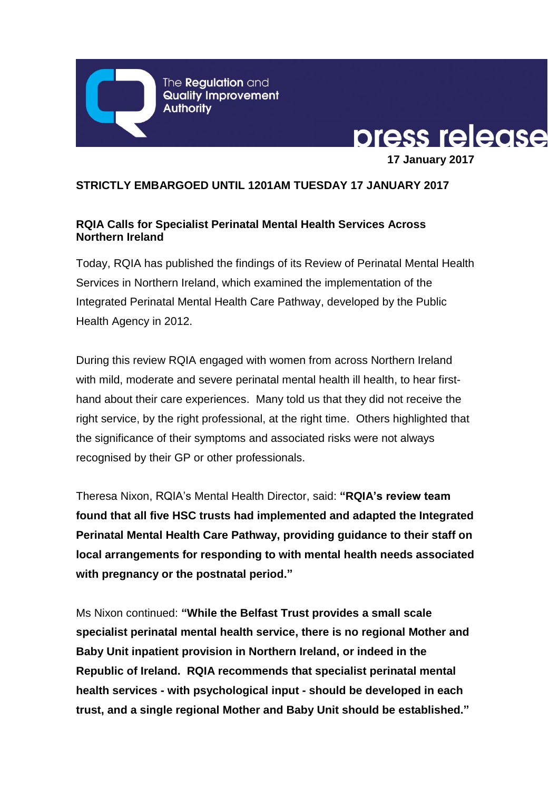The **Regulation** and **Quality Improvement Authority** 



## **STRICTLY EMBARGOED UNTIL 1201AM TUESDAY 17 JANUARY 2017**

# **RQIA Calls for Specialist Perinatal Mental Health Services Across Northern Ireland**

Today, RQIA has published the findings of its Review of Perinatal Mental Health Services in Northern Ireland, which examined the implementation of the Integrated Perinatal Mental Health Care Pathway, developed by the Public Health Agency in 2012.

During this review RQIA engaged with women from across Northern Ireland with mild, moderate and severe perinatal mental health ill health, to hear firsthand about their care experiences. Many told us that they did not receive the right service, by the right professional, at the right time. Others highlighted that the significance of their symptoms and associated risks were not always recognised by their GP or other professionals.

Theresa Nixon, RQIA's Mental Health Director, said: **"RQIA's review team found that all five HSC trusts had implemented and adapted the Integrated Perinatal Mental Health Care Pathway, providing guidance to their staff on local arrangements for responding to with mental health needs associated with pregnancy or the postnatal period."**

Ms Nixon continued: **"While the Belfast Trust provides a small scale specialist perinatal mental health service, there is no regional Mother and Baby Unit inpatient provision in Northern Ireland, or indeed in the Republic of Ireland. RQIA recommends that specialist perinatal mental health services - with psychological input - should be developed in each trust, and a single regional Mother and Baby Unit should be established."**